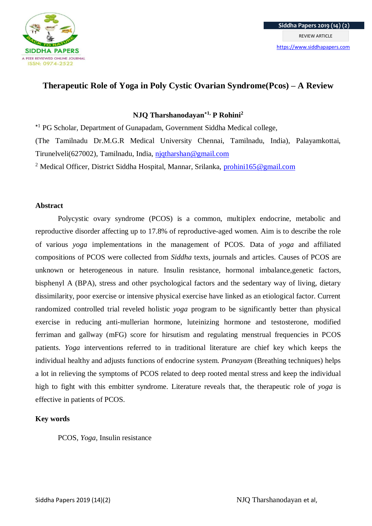

# **Therapeutic Role of Yoga in Poly Cystic Ovarian Syndrome(Pcos) – A Review**

## **NJQ Tharshanodayan⁕1, P Rohini<sup>2</sup>**

⁕1 PG Scholar, Department of Gunapadam, Government Siddha Medical college,

(The Tamilnadu Dr.M.G.R Medical University Chennai, Tamilnadu, India), Palayamkottai, Tirunelveli(627002), Tamilnadu, India, [njqtharshan@gmail.com](mailto:njqtharshan@gmail.com)

<sup>2</sup> Medical Officer, District Siddha Hospital, Mannar, Srilanka, *prohini165@gmail.com* 

## **Abstract**

Polycystic ovary syndrome (PCOS) is a common, multiplex endocrine, metabolic and reproductive disorder affecting up to 17.8% of reproductive-aged women. Aim is to describe the role of various *yoga* implementations in the management of PCOS. Data of *yoga* and affiliated compositions of PCOS were collected from *Siddha* texts, journals and articles. Causes of PCOS are unknown or heterogeneous in nature. Insulin resistance, hormonal imbalance,genetic factors, bisphenyl A (BPA), stress and other psychological factors and the sedentary way of living, dietary dissimilarity, poor exercise or intensive physical exercise have linked as an etiological factor. Current randomized controlled trial reveled holistic *yoga* program to be significantly better than physical exercise in reducing anti-mullerian hormone, luteinizing hormone and testosterone, modified ferriman and gallway (mFG) score for hirsutism and regulating menstrual frequencies in PCOS patients. *Yoga* interventions referred to in traditional literature are chief key which keeps the individual healthy and adjusts functions of endocrine system. *Pranayam* (Breathing techniques) helps a lot in relieving the symptoms of PCOS related to deep rooted mental stress and keep the individual high to fight with this embitter syndrome. Literature reveals that, the therapeutic role of *yoga* is effective in patients of PCOS.

## **Key words**

PCOS, *Yoga,* Insulin resistance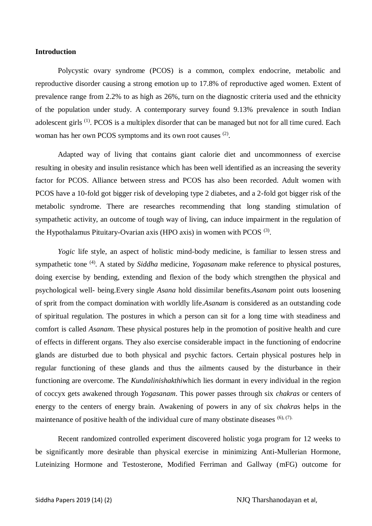### **Introduction**

Polycystic ovary syndrome (PCOS) is a common, complex endocrine, metabolic and reproductive disorder causing a strong emotion up to 17.8% of reproductive aged women. Extent of prevalence range from 2.2% to as high as 26%, turn on the diagnostic criteria used and the ethnicity of the population under study. A contemporary survey found 9.13% prevalence in south Indian adolescent girls (1). PCOS is a multiplex disorder that can be managed but not for all time cured. Each woman has her own PCOS symptoms and its own root causes <sup>(2)</sup>.

Adapted way of living that contains giant calorie diet and uncommonness of exercise resulting in obesity and insulin resistance which has been well identified as an increasing the severity factor for PCOS. Alliance between stress and PCOS has also been recorded. Adult women with PCOS have a 10-fold got bigger risk of developing type 2 diabetes, and a 2-fold got bigger risk of the metabolic syndrome. There are researches recommending that long standing stimulation of sympathetic activity, an outcome of tough way of living, can induce impairment in the regulation of the Hypothalamus Pituitary-Ovarian axis (HPO axis) in women with PCOS  $(3)$ .

*Yogic* life style, an aspect of holistic mind-body medicine, is familiar to lessen stress and sympathetic tone (4). A stated by *Siddha* medicine, *Yogasanam* make reference to physical postures, doing exercise by bending, extending and flexion of the body which strengthen the physical and psychological well- being.Every single *Asana* hold dissimilar benefits.*Asanam* point outs loosening of sprit from the compact domination with worldly life.*Asanam* is considered as an outstanding code of spiritual regulation. The postures in which a person can sit for a long time with steadiness and comfort is called *Asanam*. These physical postures help in the promotion of positive health and cure of effects in different organs. They also exercise considerable impact in the functioning of endocrine glands are disturbed due to both physical and psychic factors. Certain physical postures help in regular functioning of these glands and thus the ailments caused by the disturbance in their functioning are overcome. The *Kundalinishakthi*which lies dormant in every individual in the region of coccyx gets awakened through *Yogasanam*. This power passes through six *chakras* or centers of energy to the centers of energy brain. Awakening of powers in any of six *chakra*s helps in the maintenance of positive health of the individual cure of many obstinate diseases  $(6)$ ,  $(7)$ .

Recent randomized controlled experiment discovered holistic yoga program for 12 weeks to be significantly more desirable than physical exercise in minimizing Anti-Mullerian Hormone, Luteinizing Hormone and Testosterone, Modified Ferriman and Gallway (mFG) outcome for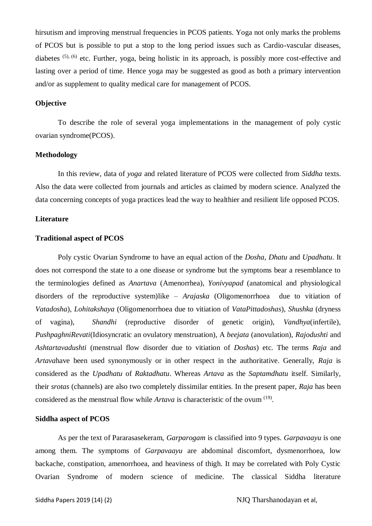hirsutism and improving menstrual frequencies in PCOS patients. Yoga not only marks the problems of PCOS but is possible to put a stop to the long period issues such as Cardio-vascular diseases, diabetes (5), (6) etc. Further, yoga, being holistic in its approach, is possibly more cost-effective and lasting over a period of time. Hence yoga may be suggested as good as both a primary intervention and/or as supplement to quality medical care for management of PCOS.

#### **Objective**

To describe the role of several yoga implementations in the management of poly cystic ovarian syndrome(PCOS).

## **Methodology**

In this review, data of *yoga* and related literature of PCOS were collected from *Siddha* texts. Also the data were collected from journals and articles as claimed by modern science. Analyzed the data concerning concepts of yoga practices lead the way to healthier and resilient life opposed PCOS.

### **Literature**

#### **Traditional aspect of PCOS**

Poly cystic Ovarian Syndrome to have an equal action of the *Dosha, Dhatu* and *Upadhatu*. It does not correspond the state to a one disease or syndrome but the symptoms bear a resemblance to the terminologies defined as *Anartava* (Amenorrhea), *Yonivyapad* (anatomical and physiological disorders of the reproductive system)like – *Arajaska* (Oligomenorrhoea due to vitiation of *Vatadosha*), *Lohitakshaya* (Oligomenorrhoea due to vitiation of *VataPittadoshas*), *Shushka* (dryness of vagina), *Shandhi* (reproductive disorder of genetic origin), *Vandhya*(infertile), *PushpaghniRevati*(Idiosyncratic an ovulatory menstruation), A *beejata* (anovulation), *Rajodushti* and *Ashtartavadushti* (menstrual flow disorder due to vitiation of *Doshas*) etc. The terms *Raja* and *Artava*have been used synonymously or in other respect in the authoritative. Generally, *Raja* is considered as the *Upadhatu* of *Raktadhatu*. Whereas *Artava* as the *Saptamdhatu* itself. Similarly, their *srotas* (channels) are also two completely dissimilar entities. In the present paper, *Raja* has been considered as the menstrual flow while *Artava* is characteristic of the ovum (19) .

#### **Siddha aspect of PCOS**

As per the text of Pararasasekeram, *Garparogam* is classified into 9 types. *Garpavaayu* is one among them. The symptoms of *Garpavaayu* are abdominal discomfort, dysmenorrhoea, low backache, constipation, amenorrhoea, and heaviness of thigh. It may be correlated with Poly Cystic Ovarian Syndrome of modern science of medicine. The classical Siddha literature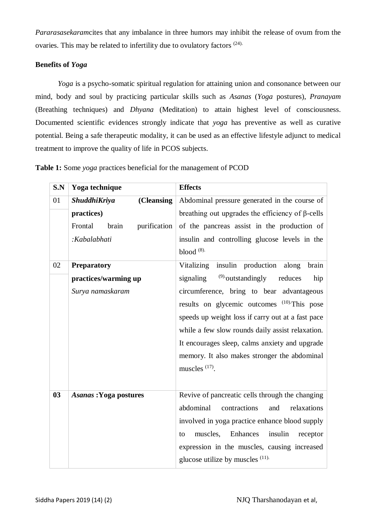*Pararasasekaram*cites that any imbalance in three humors may inhibit the release of ovum from the ovaries. This may be related to infertility due to ovulatory factors (24).

## **Benefits of** *Yoga*

*Yoga* is a psycho-somatic spiritual regulation for attaining union and consonance between our mind, body and soul by practicing particular skills such as *Asanas* (*Yoga* postures), *Pranayam* (Breathing techniques) and *Dhyana* (Meditation) to attain highest level of consciousness. Documented scientific evidences strongly indicate that *yoga* has preventive as well as curative potential. Being a safe therapeutic modality, it can be used as an effective lifestyle adjunct to medical treatment to improve the quality of life in PCOS subjects.

| S.N | Yoga technique                   | <b>Effects</b>                                          |
|-----|----------------------------------|---------------------------------------------------------|
| 01  | ShuddhiKriya<br>(Cleansing)      | Abdominal pressure generated in the course of           |
|     | practices)                       | breathing out upgrades the efficiency of $\beta$ -cells |
|     | Frontal<br>purification<br>brain | of the pancreas assist in the production of             |
|     | :Kabalabhati                     | insulin and controlling glucose levels in the           |
|     |                                  | blood $(8)$ .                                           |
| 02  | <b>Preparatory</b>               | insulin production along<br>Vitalizing<br>brain         |
|     | practices/warming up             | $^{(9)}$ outstandingly<br>signaling<br>reduces<br>hip   |
|     | Surya namaskaram                 | circumference, bring to bear advantageous               |
|     |                                  | results on glycemic outcomes <sup>(10)</sup> This pose  |
|     |                                  | speeds up weight loss if carry out at a fast pace       |
|     |                                  | while a few slow rounds daily assist relaxation.        |
|     |                                  | It encourages sleep, calms anxiety and upgrade          |
|     |                                  | memory. It also makes stronger the abdominal            |
|     |                                  | muscles $(17)$ .                                        |
|     |                                  |                                                         |
| 03  | <b>Asanas: Yoga postures</b>     | Revive of pancreatic cells through the changing         |
|     |                                  | abdominal<br>contractions<br>relaxations<br>and         |
|     |                                  | involved in yoga practice enhance blood supply          |
|     |                                  | Enhances<br>muscles,<br>insulin<br>to<br>receptor       |
|     |                                  | expression in the muscles, causing increased            |
|     |                                  | glucose utilize by muscles $(11)$ .                     |

**Table 1:** Some *yoga* practices beneficial for the management of PCOD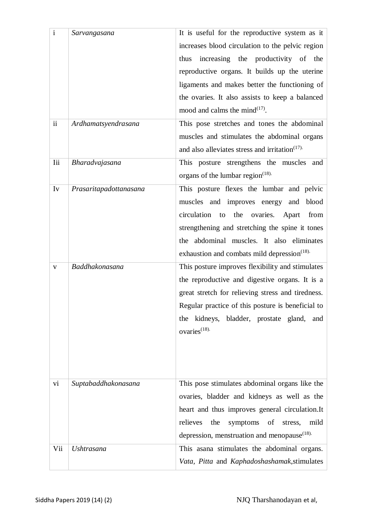| $\mathbf{i}$  | Sarvangasana           | It is useful for the reproductive system as it           |
|---------------|------------------------|----------------------------------------------------------|
|               |                        | increases blood circulation to the pelvic region         |
|               |                        | increasing the productivity of the<br>thus               |
|               |                        | reproductive organs. It builds up the uterine            |
|               |                        | ligaments and makes better the functioning of            |
|               |                        | the ovaries. It also assists to keep a balanced          |
|               |                        | mood and calms the mind $^{(17)}$ .                      |
| $\mathbf{ii}$ | Ardhamatsyendrasana    | This pose stretches and tones the abdominal              |
|               |                        | muscles and stimulates the abdominal organs              |
|               |                        | and also alleviates stress and irritation $(17)$ .       |
| Iii           | Bharadvajasana         | This posture strengthens the muscles and                 |
|               |                        | organs of the lumbar region $(18)$ .                     |
| Iv            | Prasaritapadottanasana | This posture flexes the lumbar and pelvic                |
|               |                        | muscles and improves energy and blood                    |
|               |                        | circulation to the ovaries.<br>Apart<br>from             |
|               |                        | strengthening and stretching the spine it tones          |
|               |                        | the abdominal muscles. It also eliminates                |
|               |                        | exhaustion and combats mild depression <sup>(18)</sup> . |
| V             | Baddhakonasana         | This posture improves flexibility and stimulates         |
|               |                        | the reproductive and digestive organs. It is a           |
|               |                        | great stretch for relieving stress and tiredness.        |
|               |                        | Regular practice of this posture is beneficial to        |
|               |                        | the kidneys, bladder, prostate gland, and                |
|               |                        | ovaries $(18)$ .                                         |
|               |                        |                                                          |
|               |                        |                                                          |
|               |                        |                                                          |
| vi            | Suptabaddhakonasana    | This pose stimulates abdominal organs like the           |
|               |                        | ovaries, bladder and kidneys as well as the              |
|               |                        | heart and thus improves general circulation. It          |
|               |                        | relieves<br>symptoms of stress,<br>the<br>mild           |
|               |                        | depression, menstruation and menopause $(18)$ .          |
| Vii           | <b>Ushtrasana</b>      | This asana stimulates the abdominal organs.              |
|               |                        | Vata, Pitta and Kaphadoshashamak, stimulates             |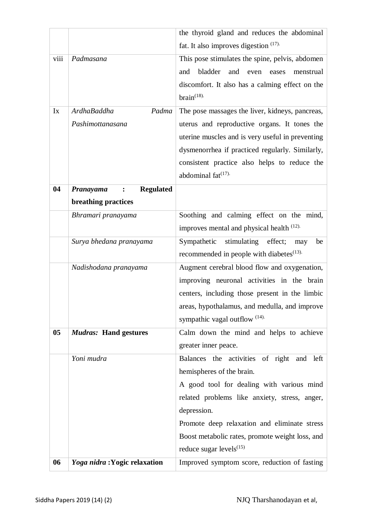|      |                                                       | the thyroid gland and reduces the abdominal           |
|------|-------------------------------------------------------|-------------------------------------------------------|
|      |                                                       | fat. It also improves digestion $(17)$ .              |
| viii | Padmasana                                             | This pose stimulates the spine, pelvis, abdomen       |
|      |                                                       | bladder<br>and<br>and<br>even<br>eases<br>menstrual   |
|      |                                                       | discomfort. It also has a calming effect on the       |
|      |                                                       | $brain$ <sup>(18)</sup> .                             |
| Ix   | <b>ArdhaBaddha</b><br>Padma                           | The pose massages the liver, kidneys, pancreas,       |
|      | Pashimottanasana                                      | uterus and reproductive organs. It tones the          |
|      |                                                       | uterine muscles and is very useful in preventing      |
|      |                                                       | dysmenorrhea if practiced regularly. Similarly,       |
|      |                                                       | consistent practice also helps to reduce the          |
|      |                                                       | abdominal $fat^{(17)}$                                |
|      |                                                       |                                                       |
| 04   | <b>Regulated</b><br>Pranayama<br>$\ddot{\phantom{a}}$ |                                                       |
|      | breathing practices                                   |                                                       |
|      | Bhramari pranayama                                    | Soothing and calming effect on the mind,              |
|      |                                                       | improves mental and physical health <sup>(12)</sup> . |
|      | Surya bhedana pranayama                               | Sympathetic<br>stimulating<br>effect;<br>be<br>may    |
|      |                                                       | recommended in people with diabetes <sup>(13)</sup> . |
|      | Nadishodana pranayama                                 | Augment cerebral blood flow and oxygenation,          |
|      |                                                       | improving neuronal activities in the brain            |
|      |                                                       | centers, including those present in the limbic        |
|      |                                                       | areas, hypothalamus, and medulla, and improve         |
|      |                                                       | sympathic vagal outflow <sup>(14)</sup> .             |
| 05   | <b>Mudras:</b> Hand gestures                          | Calm down the mind and helps to achieve               |
|      |                                                       | greater inner peace.                                  |
|      | Yoni mudra                                            | Balances the activities of right and left             |
|      |                                                       | hemispheres of the brain.                             |
|      |                                                       | A good tool for dealing with various mind             |
|      |                                                       | related problems like anxiety, stress, anger,         |
|      |                                                       | depression.                                           |
|      |                                                       | Promote deep relaxation and eliminate stress          |
|      |                                                       | Boost metabolic rates, promote weight loss, and       |
|      |                                                       | reduce sugar levels $^{(15)}$                         |
| 06   | Yoga nidra: Yogic relaxation                          | Improved symptom score, reduction of fasting          |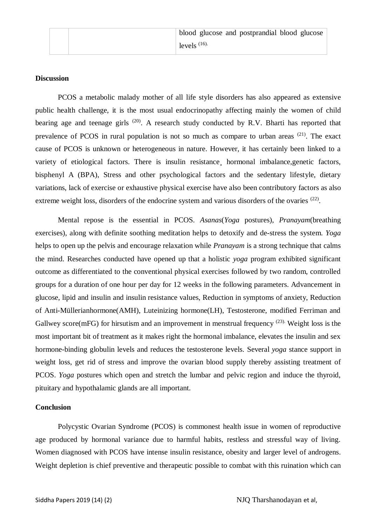#### **Discussion**

PCOS a metabolic malady mother of all life style disorders has also appeared as extensive public health challenge, it is the most usual endocrinopathy affecting mainly the women of child bearing age and teenage girls  $(20)$ . A research study conducted by R.V. Bharti has reported that prevalence of PCOS in rural population is not so much as compare to urban areas (21). The exact cause of PCOS is unknown or heterogeneous in nature. However, it has certainly been linked to a variety of etiological factors. There is insulin resistance hormonal imbalance, genetic factors, bisphenyl A (BPA), Stress and other psychological factors and the sedentary lifestyle, dietary variations, lack of exercise or exhaustive physical exercise have also been contributory factors as also extreme weight loss, disorders of the endocrine system and various disorders of the ovaries <sup>(22)</sup>.

Mental repose is the essential in PCOS. *Asanas*(*Yoga* postures), *Pranayam*(breathing exercises), along with definite soothing meditation helps to detoxify and de-stress the system. *Yoga* helps to open up the pelvis and encourage relaxation while *Pranayam* is a strong technique that calms the mind. Researches conducted have opened up that a holistic *yoga* program exhibited significant outcome as differentiated to the conventional physical exercises followed by two random, controlled groups for a duration of one hour per day for 12 weeks in the following parameters. Advancement in glucose, lipid and insulin and insulin resistance values, Reduction in symptoms of anxiety, Reduction of Anti-Müllerianhormone(AMH), Luteinizing hormone(LH), Testosterone, modified Ferriman and Gallwey score(mFG) for hirsutism and an improvement in menstrual frequency  $(23)$ . Weight loss is the most important bit of treatment as it makes right the hormonal imbalance, elevates the insulin and sex hormone-binding globulin levels and reduces the testosterone levels. Several *yoga* stance support in weight loss, get rid of stress and improve the ovarian blood supply thereby assisting treatment of PCOS. *Yoga* postures which open and stretch the lumbar and pelvic region and induce the thyroid, pituitary and hypothalamic glands are all important.

#### **Conclusion**

Polycystic Ovarian Syndrome (PCOS) is commonest health issue in women of reproductive age produced by hormonal variance due to harmful habits, restless and stressful way of living. Women diagnosed with PCOS have intense insulin resistance, obesity and larger level of androgens. Weight depletion is chief preventive and therapeutic possible to combat with this ruination which can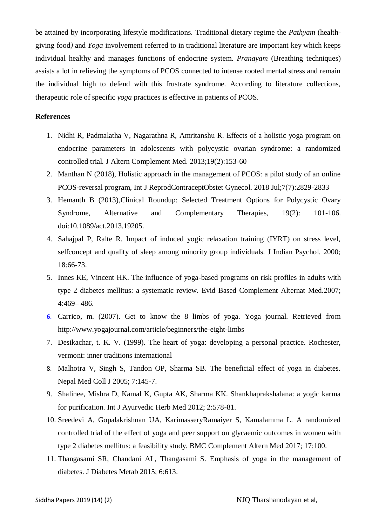be attained by incorporating lifestyle modifications. Traditional dietary regime the *Pathyam* (healthgiving food*)* and *Yoga* involvement referred to in traditional literature are important key which keeps individual healthy and manages functions of endocrine system. *Pranayam* (Breathing techniques) assists a lot in relieving the symptoms of PCOS connected to intense rooted mental stress and remain the individual high to defend with this frustrate syndrome. According to literature collections, therapeutic role of specific *yoga* practices is effective in patients of PCOS.

#### **References**

- 1. Nidhi R, Padmalatha V, Nagarathna R, Amritanshu R. Effects of a holistic yoga program on endocrine parameters in adolescents with polycystic ovarian syndrome: a randomized controlled trial. J Altern Complement Med. 2013;19(2):153-60
- 2. Manthan N (2018), Holistic approach in the management of PCOS: a pilot study of an online PCOS-reversal program, Int J ReprodContraceptObstet Gynecol. 2018 Jul;7(7):2829-2833
- 3. Hemanth B (2013),Clinical Roundup: Selected Treatment Options for Polycystic Ovary Syndrome, Alternative and Complementary Therapies, 19(2): 101-106. doi:10.1089/act.2013.19205.
- 4. Sahajpal P, Ralte R. Impact of induced yogic relaxation training (IYRT) on stress level, selfconcept and quality of sleep among minority group individuals. J Indian Psychol. 2000; 18:66-73.
- 5. Innes KE, Vincent HK. The influence of yoga-based programs on risk profiles in adults with type 2 diabetes mellitus: a systematic review. Evid Based Complement Alternat Med.2007; 4:469– 486.
- 6. Carrico, m. (2007). Get to know the 8 limbs of yoga. Yoga journal. Retrieved from http://www.yogajournal.com/article/beginners/the-eight-limbs
- 7. Desikachar, t. K. V. (1999). The heart of yoga: developing a personal practice. Rochester, vermont: inner traditions international
- 8. Malhotra V, Singh S, Tandon OP, Sharma SB. The beneficial effect of yoga in diabetes. Nepal Med Coll J 2005; 7:145-7.
- 9. Shalinee, Mishra D, Kamal K, Gupta AK, Sharma KK. Shankhaprakshalana: a yogic karma for purification. Int J Ayurvedic Herb Med 2012; 2:578-81.
- 10. Sreedevi A, Gopalakrishnan UA, KarimasseryRamaiyer S, Kamalamma L. A randomized controlled trial of the effect of yoga and peer support on glycaemic outcomes in women with type 2 diabetes mellitus: a feasibility study. BMC Complement Altern Med 2017; 17:100.
- 11. Thangasami SR, Chandani AL, Thangasami S. Emphasis of yoga in the management of diabetes. J Diabetes Metab 2015; 6:613.